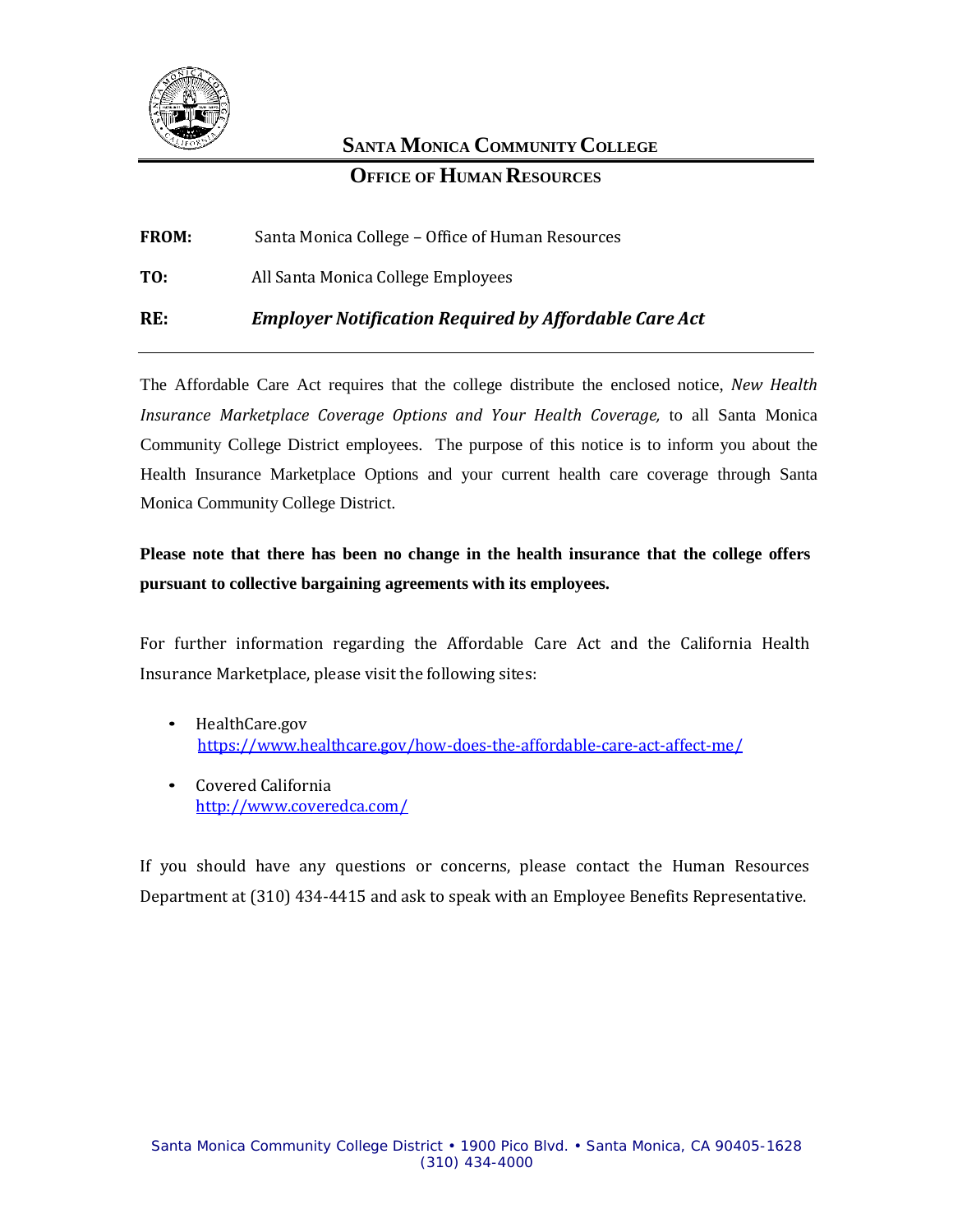

### **SANTA MONICA COMMUNITY COLLEGE**

### **OFFICE OF HUMAN RESOURCES**

**FROM:** Santa Monica College – Office of Human Resources

**TO:** All Santa Monica College Employees

**RE:** *Employer Notification Required by Affordable Care Act*

The Affordable Care Act requires that the college distribute the enclosed notice, *New Health Insurance Marketplace Coverage Options and Your Health Coverage,* to all Santa Monica Community College District employees. The purpose of this notice is to inform you about the Health Insurance Marketplace Options and your current health care coverage through Santa Monica Community College District.

**Please note that there has been no change in the health insurance that the college offers pursuant to collective bargaining agreements with its employees.**

For further information regarding the Affordable Care Act and the California Health Insurance Marketplace, please visit the following sites:

- HealthCare.gov <https://www.healthcare.gov/how-does-the-affordable-care-act-affect-me/>
- Covered California <http://www.coveredca.com/>

If you should have any questions or concerns, please contact the Human Resources Department at (310) 434-4415 and ask to speak with an Employee Benefits Representative.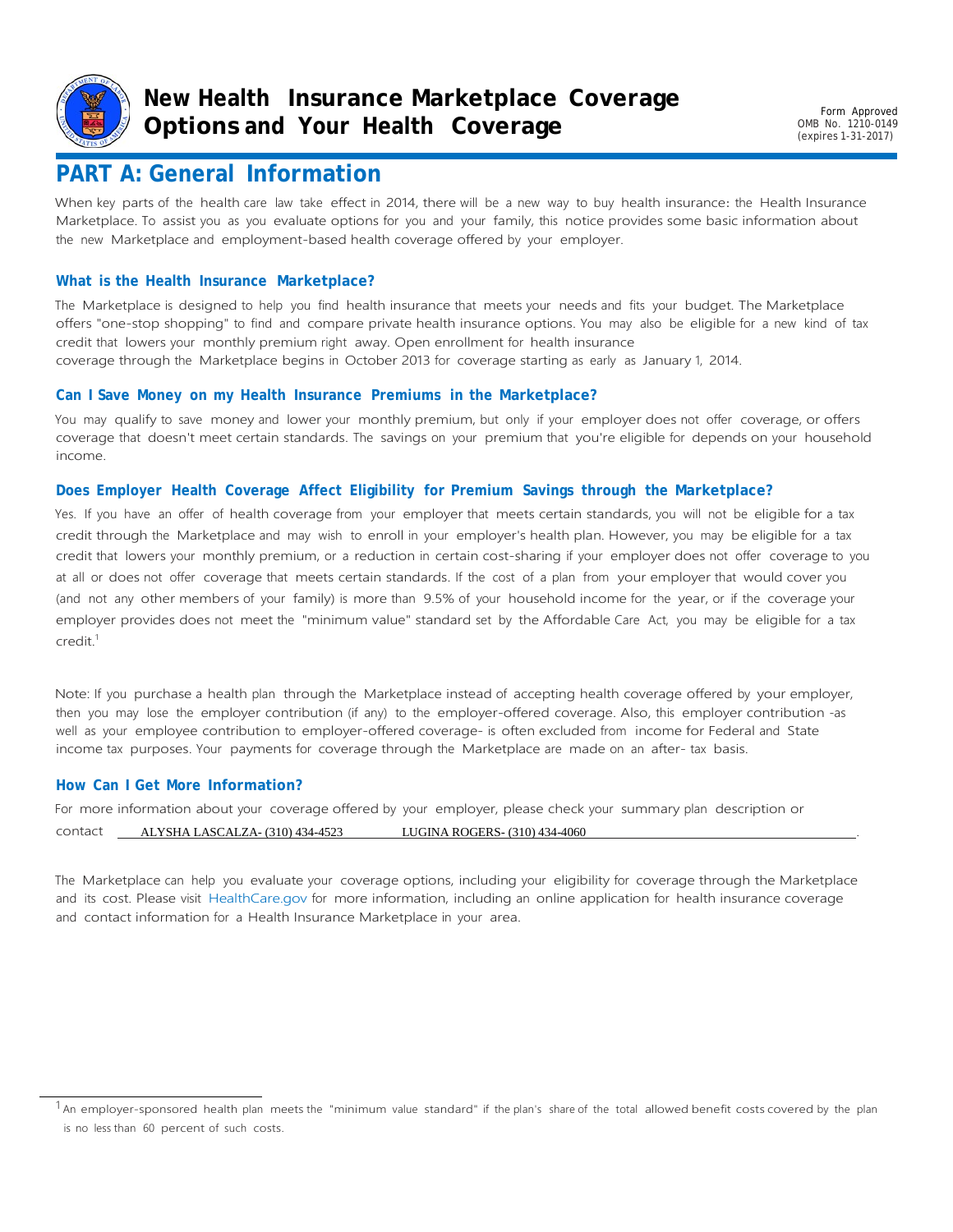

Form Approved OMB No. 1210-0149 (expires 1-31-2017)

## **PART A: General Information**

When key parts of the health care law take effect in 2014, there will be a new way to buy health insurance: the Health Insurance Marketplace. To assist you as you evaluate options for you and your family, this notice provides some basic information about the new Marketplace and employment-based health coverage offered by your employer.

#### **What is the Health Insurance Marketplace?**

The Marketplace is designed to help you find health insurance that meets your needs and fits your budget. The Marketplace offers "one-stop shopping" to find and compare private health insurance options. You may also be eligible for a new kind of tax credit that lowers your monthly premium right away. Open enrollment for health insurance coverage through the Marketplace begins in October 2013 for coverage starting as early as January 1, 2014.

#### **Can I Save Money on my Health Insurance Premiums in the Marketplace?**

You may qualify to save money and lower your monthly premium, but only if your employer does not offer coverage, or offers coverage that doesn't meet certain standards. The savings on your premium that you're eligible for depends on your household income.

#### **Does Employer Health Coverage Affect Eligibility for Premium Savings through the Marketplace?**

Yes. If you have an offer of health coverage from your employer that meets certain standards, you will not be eligible for a tax credit through the Marketplace and may wish to enroll in your employer's health plan. However, you may be eligible for a tax credit that lowers your monthly premium, or a reduction in certain cost-sharing if your employer does not offer coverage to you at all or does not offer coverage that meets certain standards. If the cost of a plan from your employer that would cover you (and not any other members of your family) is more than 9.5% of your household income for the year, or if the coverage your employer provides does not meet the "minimum value" standard set by the Affordable Care Act, you may be eligible for a tax  $c$ redit.<sup>1</sup>

Note: If you purchase a health plan through the Marketplace instead of accepting health coverage offered by your employer, then you may lose the employer contribution (if any) to the employer-offered coverage. Also, this employer contribution -as well as your employee contribution to employer-offered coverage- is often excluded from income for Federal and State income tax purposes. Your payments for coverage through the Marketplace are made on an after- tax basis.

#### **How Can I Get More Information?**

For more information about your coverage offered by your employer, please check your summary plan description or contact ALYSHA LASCALZA- (310) 434-4523 LUGINA ROGERS- (310) 434-4060 .

The Marketplace can help you evaluate your coverage options, including your eligibility for coverage through the Marketplace and its cost. Please visit [HealthCare.gov](http://www.healthcare.gov/) for more information, including an online application for health insurance coverage and contact information for a Health Insurance Marketplace in your area.

 $^1$ An employer-sponsored health plan meets the "minimum value standard" if the plan's share of the total allowed benefit costs covered by the plan is no less than 60 percent of such costs.